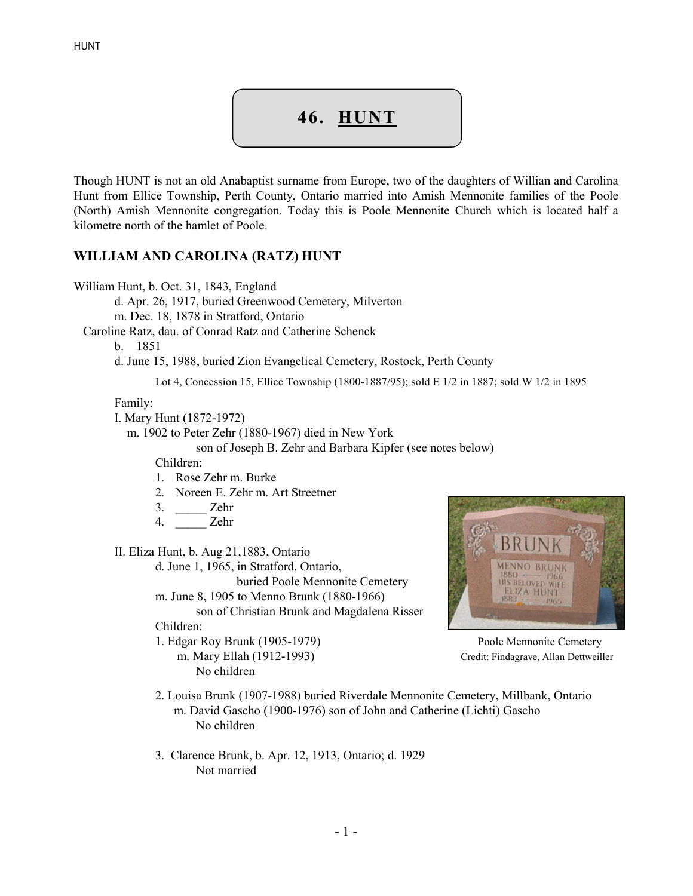## 46. HUNT

Though HUNT is not an old Anabaptist surname from Europe, two of the daughters of Willian and Carolina Hunt from Ellice Township, Perth County, Ontario married into Amish Mennonite families of the Poole (North) Amish Mennonite congregation. Today this is Poole Mennonite Church which is located half a kilometre north of the hamlet of Poole.

## WILLIAM AND CAROLINA (RATZ) HUNT

William Hunt, b. Oct. 31, 1843, England

d. Apr. 26, 1917, buried Greenwood Cemetery, Milverton

m. Dec. 18, 1878 in Stratford, Ontario

Caroline Ratz, dau. of Conrad Ratz and Catherine Schenck

b. 1851

d. June 15, 1988, buried Zion Evangelical Cemetery, Rostock, Perth County

Lot 4, Concession 15, Ellice Township (1800-1887/95); sold E 1/2 in 1887; sold W 1/2 in 1895

Family:

I. Mary Hunt (1872-1972)

m. 1902 to Peter Zehr (1880-1967) died in New York

son of Joseph B. Zehr and Barbara Kipfer (see notes below)

Children:

- 1. Rose Zehr m. Burke
- 2. Noreen E. Zehr m. Art Streetner
- 3. \_\_\_\_\_ Zehr
- 4. \_\_\_\_\_ Zehr
- II. Eliza Hunt, b. Aug 21,1883, Ontario
	- d. June 1, 1965, in Stratford, Ontario,

buried Poole Mennonite Cemetery

m. June 8, 1905 to Menno Brunk (1880-1966) son of Christian Brunk and Magdalena Risser

Children:

1. Edgar Roy Brunk (1905-1979) Poole Mennonite Cemetery No children



m. Mary Ellah (1912-1993) Credit: Findagrave, Allan Dettweiller

- 2. Louisa Brunk (1907-1988) buried Riverdale Mennonite Cemetery, Millbank, Ontario m. David Gascho (1900-1976) son of John and Catherine (Lichti) Gascho No children
- 3. Clarence Brunk, b. Apr. 12, 1913, Ontario; d. 1929 Not married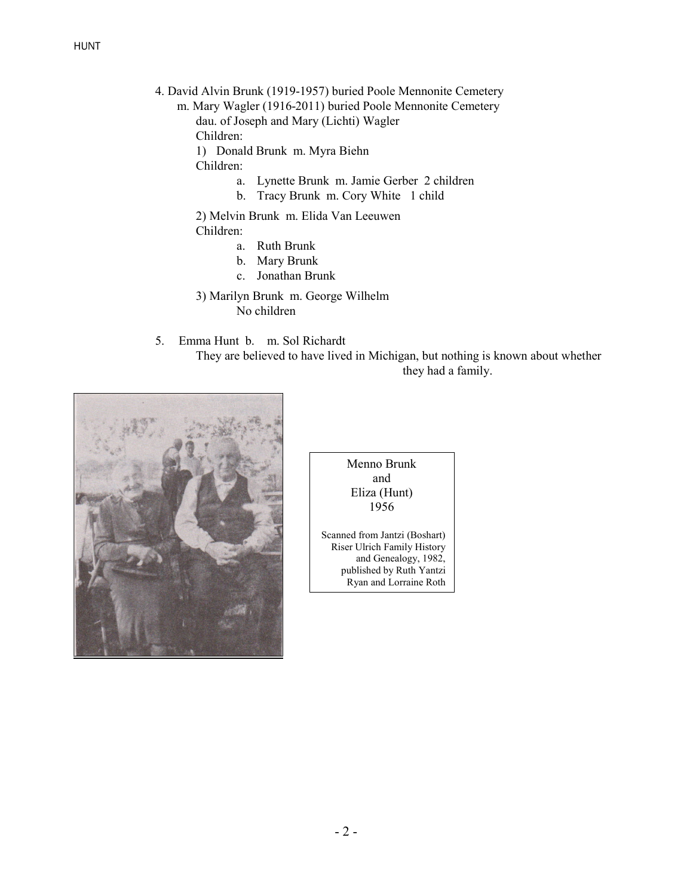- 4. David Alvin Brunk (1919-1957) buried Poole Mennonite Cemetery
	- m. Mary Wagler (1916-2011) buried Poole Mennonite Cemetery dau. of Joseph and Mary (Lichti) Wagler Children:
		- 1) Donald Brunk m. Myra Biehn

Children:

- a. Lynette Brunk m. Jamie Gerber 2 children
- b. Tracy Brunk m. Cory White 1 child

2) Melvin Brunk m. Elida Van Leeuwen

Children:

- a. Ruth Brunk
- b. Mary Brunk
- c. Jonathan Brunk
- 3) Marilyn Brunk m. George Wilhelm No children
- 5. Emma Hunt b. m. Sol Richardt

 They are believed to have lived in Michigan, but nothing is known about whether they had a family.



Menno Brunk and Eliza (Hunt) 1956

Scanned from Jantzi (Boshart) Riser Ulrich Family History and Genealogy, 1982, published by Ruth Yantzi Ryan and Lorraine Roth